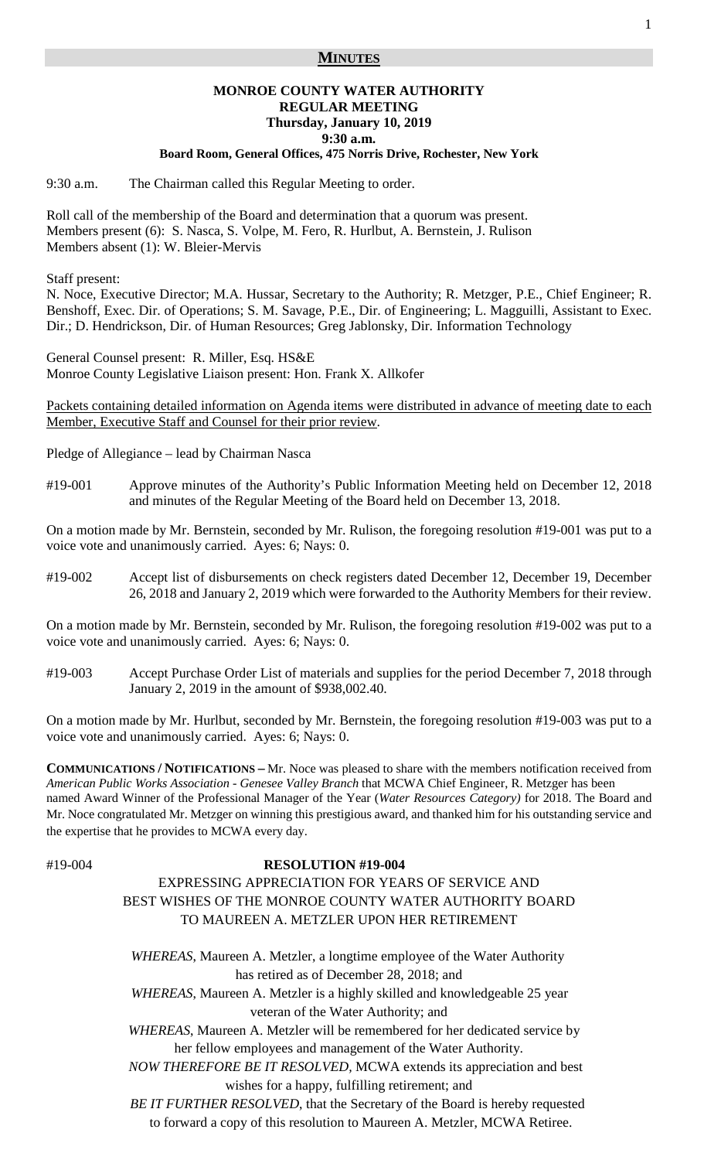## **MINUTES**

# **MONROE COUNTY WATER AUTHORITY REGULAR MEETING Thursday, January 10, 2019 9:30 a.m.**

### **Board Room, General Offices, 475 Norris Drive, Rochester, New York**

9:30 a.m. The Chairman called this Regular Meeting to order.

Roll call of the membership of the Board and determination that a quorum was present. Members present (6): S. Nasca, S. Volpe, M. Fero, R. Hurlbut, A. Bernstein, J. Rulison Members absent (1): W. Bleier-Mervis

Staff present:

N. Noce, Executive Director; M.A. Hussar, Secretary to the Authority; R. Metzger, P.E., Chief Engineer; R. Benshoff, Exec. Dir. of Operations; S. M. Savage, P.E., Dir. of Engineering; L. Magguilli, Assistant to Exec. Dir.; D. Hendrickson, Dir. of Human Resources; Greg Jablonsky, Dir. Information Technology

General Counsel present: R. Miller, Esq. HS&E Monroe County Legislative Liaison present: Hon. Frank X. Allkofer

Packets containing detailed information on Agenda items were distributed in advance of meeting date to each Member, Executive Staff and Counsel for their prior review.

Pledge of Allegiance – lead by Chairman Nasca

#19-001 Approve minutes of the Authority's Public Information Meeting held on December 12, 2018 and minutes of the Regular Meeting of the Board held on December 13, 2018.

On a motion made by Mr. Bernstein, seconded by Mr. Rulison, the foregoing resolution #19-001 was put to a voice vote and unanimously carried. Ayes: 6; Nays: 0.

#19-002 Accept list of disbursements on check registers dated December 12, December 19, December 26, 2018 and January 2, 2019 which were forwarded to the Authority Members for their review.

On a motion made by Mr. Bernstein, seconded by Mr. Rulison, the foregoing resolution #19-002 was put to a voice vote and unanimously carried. Ayes: 6; Nays: 0.

#19-003 Accept Purchase Order List of materials and supplies for the period December 7, 2018 through January 2, 2019 in the amount of \$938,002.40.

On a motion made by Mr. Hurlbut, seconded by Mr. Bernstein, the foregoing resolution #19-003 was put to a voice vote and unanimously carried. Ayes: 6; Nays: 0.

**COMMUNICATIONS / NOTIFICATIONS –** Mr. Noce was pleased to share with the members notification received from *American Public Works Association - Genesee Valley Branch* that MCWA Chief Engineer, R. Metzger has been named Award Winner of the Professional Manager of the Year (*Water Resources Category)* for 2018. The Board and Mr. Noce congratulated Mr. Metzger on winning this prestigious award, and thanked him for his outstanding service and the expertise that he provides to MCWA every day.

#### #19-004 **RESOLUTION #19-004**

# EXPRESSING APPRECIATION FOR YEARS OF SERVICE AND BEST WISHES OF THE MONROE COUNTY WATER AUTHORITY BOARD TO MAUREEN A. METZLER UPON HER RETIREMENT

 *WHEREAS*, Maureen A. Metzler, a longtime employee of the Water Authority has retired as of December 28, 2018; and

 *WHEREAS*, Maureen A. Metzler is a highly skilled and knowledgeable 25 year veteran of the Water Authority; and

 *WHEREAS*, Maureen A. Metzler will be remembered for her dedicated service by her fellow employees and management of the Water Authority.

 *NOW THEREFORE BE IT RESOLVED,* MCWA extends its appreciation and best wishes for a happy, fulfilling retirement; and

 *BE IT FURTHER RESOLVED*, that the Secretary of the Board is hereby requested to forward a copy of this resolution to Maureen A. Metzler, MCWA Retiree.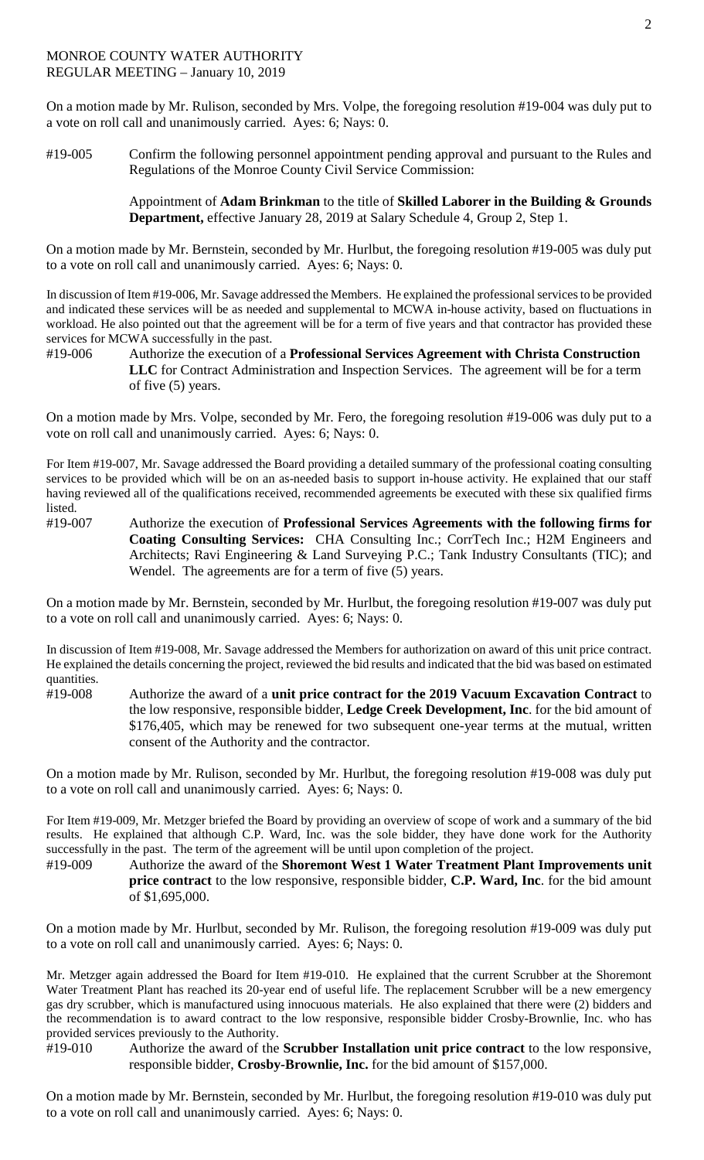On a motion made by Mr. Rulison, seconded by Mrs. Volpe, the foregoing resolution #19-004 was duly put to a vote on roll call and unanimously carried. Ayes: 6; Nays: 0.

#19-005 Confirm the following personnel appointment pending approval and pursuant to the Rules and Regulations of the Monroe County Civil Service Commission:

> Appointment of **Adam Brinkman** to the title of **Skilled Laborer in the Building & Grounds Department,** effective January 28, 2019 at Salary Schedule 4, Group 2, Step 1.

On a motion made by Mr. Bernstein, seconded by Mr. Hurlbut, the foregoing resolution #19-005 was duly put to a vote on roll call and unanimously carried. Ayes: 6; Nays: 0.

In discussion of Item #19-006, Mr. Savage addressed the Members. He explained the professional services to be provided and indicated these services will be as needed and supplemental to MCWA in-house activity, based on fluctuations in workload. He also pointed out that the agreement will be for a term of five years and that contractor has provided these services for MCWA successfully in the past.

#19-006 Authorize the execution of a **Professional Services Agreement with Christa Construction LLC** for Contract Administration and Inspection Services. The agreement will be for a term of five (5) years.

On a motion made by Mrs. Volpe, seconded by Mr. Fero, the foregoing resolution #19-006 was duly put to a vote on roll call and unanimously carried. Ayes: 6; Nays: 0.

For Item #19-007, Mr. Savage addressed the Board providing a detailed summary of the professional coating consulting services to be provided which will be on an as-needed basis to support in-house activity. He explained that our staff having reviewed all of the qualifications received, recommended agreements be executed with these six qualified firms listed.

#19-007 Authorize the execution of **Professional Services Agreements with the following firms for Coating Consulting Services:** CHA Consulting Inc.; CorrTech Inc.; H2M Engineers and Architects; Ravi Engineering & Land Surveying P.C.; Tank Industry Consultants (TIC); and Wendel. The agreements are for a term of five (5) years.

On a motion made by Mr. Bernstein, seconded by Mr. Hurlbut, the foregoing resolution #19-007 was duly put to a vote on roll call and unanimously carried. Ayes: 6; Nays: 0.

In discussion of Item #19-008, Mr. Savage addressed the Members for authorization on award of this unit price contract. He explained the details concerning the project, reviewed the bid results and indicated that the bid was based on estimated quantities.

#19-008 Authorize the award of a **unit price contract for the 2019 Vacuum Excavation Contract** to the low responsive, responsible bidder, **Ledge Creek Development, Inc**. for the bid amount of \$176,405, which may be renewed for two subsequent one-year terms at the mutual, written consent of the Authority and the contractor.

On a motion made by Mr. Rulison, seconded by Mr. Hurlbut, the foregoing resolution #19-008 was duly put to a vote on roll call and unanimously carried. Ayes: 6; Nays: 0.

For Item #19-009, Mr. Metzger briefed the Board by providing an overview of scope of work and a summary of the bid results. He explained that although C.P. Ward, Inc. was the sole bidder, they have done work for the Authority successfully in the past. The term of the agreement will be until upon completion of the project.

#19-009 Authorize the award of the **Shoremont West 1 Water Treatment Plant Improvements unit price contract** to the low responsive, responsible bidder, **C.P. Ward, Inc**. for the bid amount of \$1,695,000.

On a motion made by Mr. Hurlbut, seconded by Mr. Rulison, the foregoing resolution #19-009 was duly put to a vote on roll call and unanimously carried. Ayes: 6; Nays: 0.

Mr. Metzger again addressed the Board for Item #19-010. He explained that the current Scrubber at the Shoremont Water Treatment Plant has reached its 20-year end of useful life. The replacement Scrubber will be a new emergency gas dry scrubber, which is manufactured using innocuous materials. He also explained that there were (2) bidders and the recommendation is to award contract to the low responsive, responsible bidder Crosby-Brownlie, Inc. who has provided services previously to the Authority.

#19-010 Authorize the award of the **Scrubber Installation unit price contract** to the low responsive, responsible bidder, **Crosby-Brownlie, Inc.** for the bid amount of \$157,000.

On a motion made by Mr. Bernstein, seconded by Mr. Hurlbut, the foregoing resolution #19-010 was duly put to a vote on roll call and unanimously carried. Ayes: 6; Nays: 0.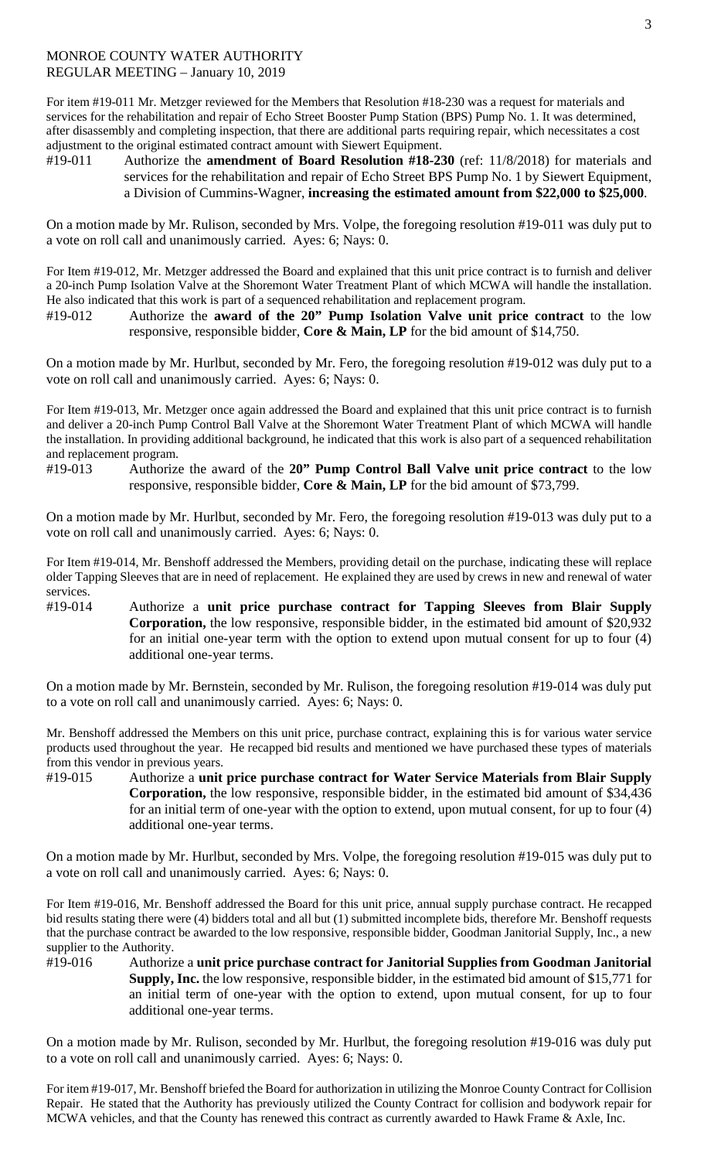For item #19-011 Mr. Metzger reviewed for the Members that Resolution #18-230 was a request for materials and services for the rehabilitation and repair of Echo Street Booster Pump Station (BPS) Pump No. 1. It was determined, after disassembly and completing inspection, that there are additional parts requiring repair, which necessitates a cost adjustment to the original estimated contract amount with Siewert Equipment.

#19-011 Authorize the **amendment of Board Resolution #18-230** (ref: 11/8/2018) for materials and services for the rehabilitation and repair of Echo Street BPS Pump No. 1 by Siewert Equipment, a Division of Cummins-Wagner, **increasing the estimated amount from \$22,000 to \$25,000**.

On a motion made by Mr. Rulison, seconded by Mrs. Volpe, the foregoing resolution #19-011 was duly put to a vote on roll call and unanimously carried. Ayes: 6; Nays: 0.

For Item #19-012, Mr. Metzger addressed the Board and explained that this unit price contract is to furnish and deliver a 20-inch Pump Isolation Valve at the Shoremont Water Treatment Plant of which MCWA will handle the installation. He also indicated that this work is part of a sequenced rehabilitation and replacement program.

#19-012 Authorize the **award of the 20" Pump Isolation Valve unit price contract** to the low responsive, responsible bidder, **Core & Main, LP** for the bid amount of \$14,750.

On a motion made by Mr. Hurlbut, seconded by Mr. Fero, the foregoing resolution #19-012 was duly put to a vote on roll call and unanimously carried. Ayes: 6; Nays: 0.

For Item #19-013, Mr. Metzger once again addressed the Board and explained that this unit price contract is to furnish and deliver a 20-inch Pump Control Ball Valve at the Shoremont Water Treatment Plant of which MCWA will handle the installation. In providing additional background, he indicated that this work is also part of a sequenced rehabilitation and replacement program.

#19-013 Authorize the award of the **20" Pump Control Ball Valve unit price contract** to the low responsive, responsible bidder, **Core & Main, LP** for the bid amount of \$73,799.

On a motion made by Mr. Hurlbut, seconded by Mr. Fero, the foregoing resolution #19-013 was duly put to a vote on roll call and unanimously carried. Ayes: 6; Nays: 0.

For Item #19-014, Mr. Benshoff addressed the Members, providing detail on the purchase, indicating these will replace older Tapping Sleeves that are in need of replacement. He explained they are used by crews in new and renewal of water services.

#19-014 Authorize a **unit price purchase contract for Tapping Sleeves from Blair Supply Corporation,** the low responsive, responsible bidder, in the estimated bid amount of \$20,932 for an initial one-year term with the option to extend upon mutual consent for up to four (4) additional one-year terms.

On a motion made by Mr. Bernstein, seconded by Mr. Rulison, the foregoing resolution #19-014 was duly put to a vote on roll call and unanimously carried. Ayes: 6; Nays: 0.

Mr. Benshoff addressed the Members on this unit price, purchase contract, explaining this is for various water service products used throughout the year. He recapped bid results and mentioned we have purchased these types of materials from this vendor in previous years.

#19-015 Authorize a **unit price purchase contract for Water Service Materials from Blair Supply Corporation,** the low responsive, responsible bidder, in the estimated bid amount of \$34,436 for an initial term of one-year with the option to extend, upon mutual consent, for up to four (4) additional one-year terms.

On a motion made by Mr. Hurlbut, seconded by Mrs. Volpe, the foregoing resolution #19-015 was duly put to a vote on roll call and unanimously carried. Ayes: 6; Nays: 0.

For Item #19-016, Mr. Benshoff addressed the Board for this unit price, annual supply purchase contract. He recapped bid results stating there were (4) bidders total and all but (1) submitted incomplete bids, therefore Mr. Benshoff requests that the purchase contract be awarded to the low responsive, responsible bidder, Goodman Janitorial Supply, Inc., a new supplier to the Authority.

#19-016 Authorize a **unit price purchase contract for Janitorial Supplies from Goodman Janitorial Supply, Inc.** the low responsive, responsible bidder, in the estimated bid amount of \$15,771 for an initial term of one-year with the option to extend, upon mutual consent, for up to four additional one-year terms.

On a motion made by Mr. Rulison, seconded by Mr. Hurlbut, the foregoing resolution #19-016 was duly put to a vote on roll call and unanimously carried. Ayes: 6; Nays: 0.

For item #19-017, Mr. Benshoff briefed the Board for authorization in utilizing the Monroe County Contract for Collision Repair. He stated that the Authority has previously utilized the County Contract for collision and bodywork repair for MCWA vehicles, and that the County has renewed this contract as currently awarded to Hawk Frame & Axle, Inc.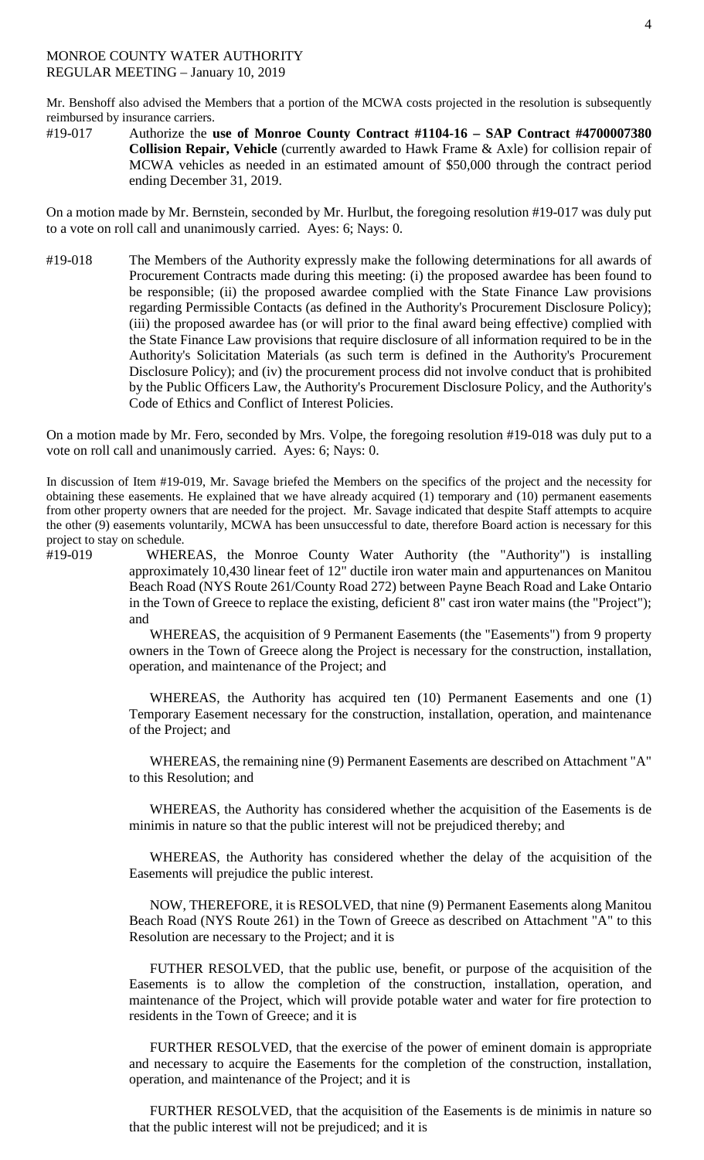Mr. Benshoff also advised the Members that a portion of the MCWA costs projected in the resolution is subsequently reimbursed by insurance carriers.

#19-017 Authorize the **use of Monroe County Contract #1104-16 – SAP Contract #4700007380 Collision Repair, Vehicle** (currently awarded to Hawk Frame & Axle) for collision repair of MCWA vehicles as needed in an estimated amount of \$50,000 through the contract period ending December 31, 2019.

On a motion made by Mr. Bernstein, seconded by Mr. Hurlbut, the foregoing resolution #19-017 was duly put to a vote on roll call and unanimously carried. Ayes: 6; Nays: 0.

#19-018 The Members of the Authority expressly make the following determinations for all awards of Procurement Contracts made during this meeting: (i) the proposed awardee has been found to be responsible; (ii) the proposed awardee complied with the State Finance Law provisions regarding Permissible Contacts (as defined in the Authority's Procurement Disclosure Policy); (iii) the proposed awardee has (or will prior to the final award being effective) complied with the State Finance Law provisions that require disclosure of all information required to be in the Authority's Solicitation Materials (as such term is defined in the Authority's Procurement Disclosure Policy); and (iv) the procurement process did not involve conduct that is prohibited by the Public Officers Law, the Authority's Procurement Disclosure Policy, and the Authority's Code of Ethics and Conflict of Interest Policies.

On a motion made by Mr. Fero, seconded by Mrs. Volpe, the foregoing resolution #19-018 was duly put to a vote on roll call and unanimously carried. Ayes: 6; Nays: 0.

In discussion of Item #19-019, Mr. Savage briefed the Members on the specifics of the project and the necessity for obtaining these easements. He explained that we have already acquired (1) temporary and (10) permanent easements from other property owners that are needed for the project. Mr. Savage indicated that despite Staff attempts to acquire the other (9) easements voluntarily, MCWA has been unsuccessful to date, therefore Board action is necessary for this project to stay on schedule.

#19-019 WHEREAS, the Monroe County Water Authority (the "Authority") is installing approximately 10,430 linear feet of 12" ductile iron water main and appurtenances on Manitou Beach Road (NYS Route 261/County Road 272) between Payne Beach Road and Lake Ontario in the Town of Greece to replace the existing, deficient 8" cast iron water mains (the "Project"); and

> WHEREAS, the acquisition of 9 Permanent Easements (the "Easements") from 9 property owners in the Town of Greece along the Project is necessary for the construction, installation, operation, and maintenance of the Project; and

> WHEREAS, the Authority has acquired ten (10) Permanent Easements and one (1) Temporary Easement necessary for the construction, installation, operation, and maintenance of the Project; and

> WHEREAS, the remaining nine (9) Permanent Easements are described on Attachment "A" to this Resolution; and

> WHEREAS, the Authority has considered whether the acquisition of the Easements is de minimis in nature so that the public interest will not be prejudiced thereby; and

> WHEREAS, the Authority has considered whether the delay of the acquisition of the Easements will prejudice the public interest.

> NOW, THEREFORE, it is RESOLVED, that nine (9) Permanent Easements along Manitou Beach Road (NYS Route 261) in the Town of Greece as described on Attachment "A" to this Resolution are necessary to the Project; and it is

> FUTHER RESOLVED, that the public use, benefit, or purpose of the acquisition of the Easements is to allow the completion of the construction, installation, operation, and maintenance of the Project, which will provide potable water and water for fire protection to residents in the Town of Greece; and it is

> FURTHER RESOLVED, that the exercise of the power of eminent domain is appropriate and necessary to acquire the Easements for the completion of the construction, installation, operation, and maintenance of the Project; and it is

> FURTHER RESOLVED, that the acquisition of the Easements is de minimis in nature so that the public interest will not be prejudiced; and it is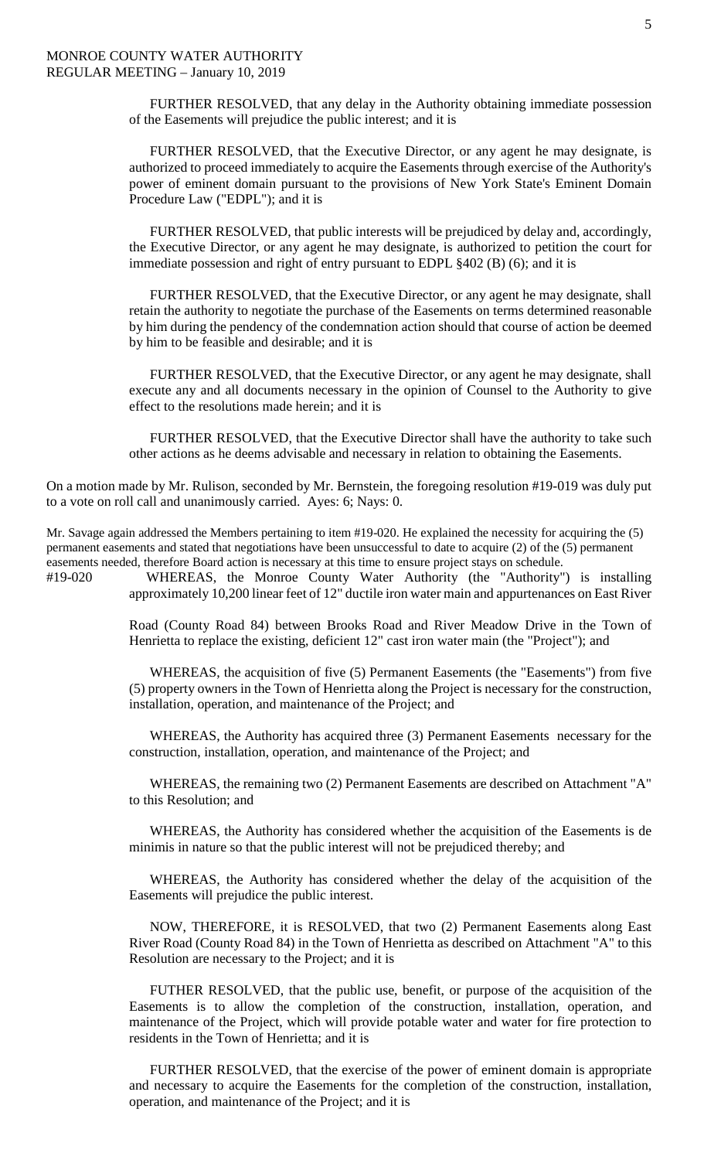FURTHER RESOLVED, that any delay in the Authority obtaining immediate possession of the Easements will prejudice the public interest; and it is

FURTHER RESOLVED, that the Executive Director, or any agent he may designate, is authorized to proceed immediately to acquire the Easements through exercise of the Authority's power of eminent domain pursuant to the provisions of New York State's Eminent Domain Procedure Law ("EDPL"); and it is

FURTHER RESOLVED, that public interests will be prejudiced by delay and, accordingly, the Executive Director, or any agent he may designate, is authorized to petition the court for immediate possession and right of entry pursuant to EDPL §402 (B) (6); and it is

FURTHER RESOLVED, that the Executive Director, or any agent he may designate, shall retain the authority to negotiate the purchase of the Easements on terms determined reasonable by him during the pendency of the condemnation action should that course of action be deemed by him to be feasible and desirable; and it is

FURTHER RESOLVED, that the Executive Director, or any agent he may designate, shall execute any and all documents necessary in the opinion of Counsel to the Authority to give effect to the resolutions made herein; and it is

FURTHER RESOLVED, that the Executive Director shall have the authority to take such other actions as he deems advisable and necessary in relation to obtaining the Easements.

On a motion made by Mr. Rulison, seconded by Mr. Bernstein, the foregoing resolution #19-019 was duly put to a vote on roll call and unanimously carried. Ayes: 6; Nays: 0.

Mr. Savage again addressed the Members pertaining to item #19-020. He explained the necessity for acquiring the (5) permanent easements and stated that negotiations have been unsuccessful to date to acquire (2) of the (5) permanent easements needed, therefore Board action is necessary at this time to ensure project stays on schedule.

#19-020 WHEREAS, the Monroe County Water Authority (the "Authority") is installing approximately 10,200 linear feet of 12" ductile iron water main and appurtenances on East River

> Road (County Road 84) between Brooks Road and River Meadow Drive in the Town of Henrietta to replace the existing, deficient 12" cast iron water main (the "Project"); and

> WHEREAS, the acquisition of five (5) Permanent Easements (the "Easements") from five (5) property owners in the Town of Henrietta along the Project is necessary for the construction, installation, operation, and maintenance of the Project; and

> WHEREAS, the Authority has acquired three (3) Permanent Easements necessary for the construction, installation, operation, and maintenance of the Project; and

> WHEREAS, the remaining two (2) Permanent Easements are described on Attachment "A" to this Resolution; and

> WHEREAS, the Authority has considered whether the acquisition of the Easements is de minimis in nature so that the public interest will not be prejudiced thereby; and

> WHEREAS, the Authority has considered whether the delay of the acquisition of the Easements will prejudice the public interest.

> NOW, THEREFORE, it is RESOLVED, that two (2) Permanent Easements along East River Road (County Road 84) in the Town of Henrietta as described on Attachment "A" to this Resolution are necessary to the Project; and it is

> FUTHER RESOLVED, that the public use, benefit, or purpose of the acquisition of the Easements is to allow the completion of the construction, installation, operation, and maintenance of the Project, which will provide potable water and water for fire protection to residents in the Town of Henrietta; and it is

> FURTHER RESOLVED, that the exercise of the power of eminent domain is appropriate and necessary to acquire the Easements for the completion of the construction, installation, operation, and maintenance of the Project; and it is